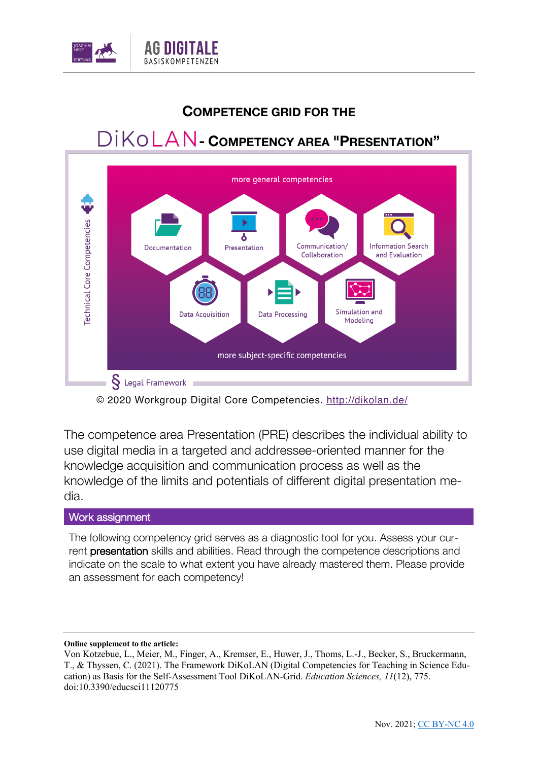

## **COMPETENCE GRID FOR THE**

## **- COMPETENCY AREA "PRESENTATION"**



© 2020 Workgroup Digital Core Competencies. http://dikolan.de/

The competence area Presentation (PRE) describes the individual ability to use digital media in a targeted and addressee-oriented manner for the knowledge acquisition and communication process as well as the knowledge of the limits and potentials of different digital presentation media.

## Work assignment

The following competency grid serves as a diagnostic tool for you. Assess your current presentation skills and abilities. Read through the competence descriptions and indicate on the scale to what extent you have already mastered them. Please provide an assessment for each competency!

## **Online supplement to the article:**

Von Kotzebue, L., Meier, M., Finger, A., Kremser, E., Huwer, J., Thoms, L.-J., Becker, S., Bruckermann, T., & Thyssen, C. (2021). The Framework DiKoLAN (Digital Competencies for Teaching in Science Education) as Basis for the Self-Assessment Tool DiKoLAN-Grid. *Education Sciences, 11*(12), 775. doi:10.3390/educsci11120775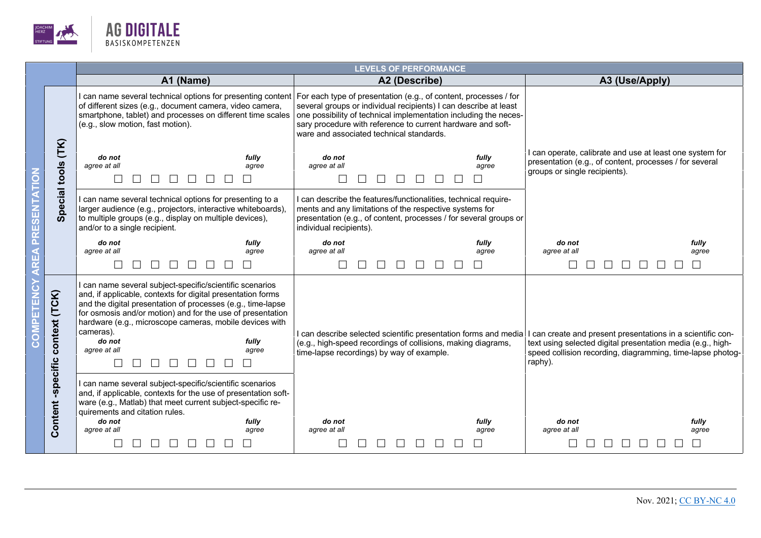

|  |                              | <b>LEVELS OF PERFORMANCE</b>                                                                                                                                                                                                                                                                                                                                                                                                                     |                                                                                                                                                                                                                                                                                                                     |                                                                                                                                                                                                   |  |  |  |  |  |
|--|------------------------------|--------------------------------------------------------------------------------------------------------------------------------------------------------------------------------------------------------------------------------------------------------------------------------------------------------------------------------------------------------------------------------------------------------------------------------------------------|---------------------------------------------------------------------------------------------------------------------------------------------------------------------------------------------------------------------------------------------------------------------------------------------------------------------|---------------------------------------------------------------------------------------------------------------------------------------------------------------------------------------------------|--|--|--|--|--|
|  |                              | A1 (Name)                                                                                                                                                                                                                                                                                                                                                                                                                                        | A2 (Describe)                                                                                                                                                                                                                                                                                                       | A3 (Use/Apply)                                                                                                                                                                                    |  |  |  |  |  |
|  | (TK)<br>tools<br>pecial<br>ഗ | can name several technical options for presenting content<br>of different sizes (e.g., document camera, video camera,<br>smartphone, tablet) and processes on different time scales<br>(e.g., slow motion, fast motion).                                                                                                                                                                                                                         | For each type of presentation (e.g., of content, processes / for<br>several groups or individual recipients) I can describe at least<br>one possibility of technical implementation including the neces-<br>sary procedure with reference to current hardware and soft-<br>ware and associated technical standards. |                                                                                                                                                                                                   |  |  |  |  |  |
|  |                              | do not<br>fully<br>agree at all<br>agree<br>П                                                                                                                                                                                                                                                                                                                                                                                                    | do not<br>fully<br>agree at all<br>agree                                                                                                                                                                                                                                                                            | can operate, calibrate and use at least one system for<br>presentation (e.g., of content, processes / for several<br>groups or single recipients).                                                |  |  |  |  |  |
|  |                              | I can name several technical options for presenting to a<br>larger audience (e.g., projectors, interactive whiteboards),<br>to multiple groups (e.g., display on multiple devices),<br>and/or to a single recipient.                                                                                                                                                                                                                             | I can describe the features/functionalities, technical require-<br>ments and any limitations of the respective systems for<br>presentation (e.g., of content, processes / for several groups or<br>individual recipients).                                                                                          |                                                                                                                                                                                                   |  |  |  |  |  |
|  |                              | fully<br>do not                                                                                                                                                                                                                                                                                                                                                                                                                                  | do not<br>fully                                                                                                                                                                                                                                                                                                     | do not<br>fully                                                                                                                                                                                   |  |  |  |  |  |
|  |                              | agree at all<br>agree<br>$\Box$<br>$\perp$<br>$\perp$<br>$\mathbf{1}$                                                                                                                                                                                                                                                                                                                                                                            | agree at all<br>agree<br>$\Box$                                                                                                                                                                                                                                                                                     | agree at all<br>agree                                                                                                                                                                             |  |  |  |  |  |
|  | context (TCK)                | I can name several subject-specific/scientific scenarios<br>and, if applicable, contexts for digital presentation forms<br>and the digital presentation of processes (e.g., time-lapse<br>for osmosis and/or motion) and for the use of presentation<br>hardware (e.g., microscope cameras, mobile devices with<br>cameras).<br>fully<br>do not<br>agree at all<br>agree<br>$\Box$<br>$\Box$<br>$\Box$<br>$\Box$<br>$\Box$<br>$\perp$<br>$\perp$ | I can describe selected scientific presentation forms and media<br>(e.g., high-speed recordings of collisions, making diagrams,<br>time-lapse recordings) by way of example.                                                                                                                                        | can create and present presentations in a scientific con-<br>text using selected digital presentation media (e.g., high-<br>speed collision recording, diagramming, time-lapse photog-<br>raphy). |  |  |  |  |  |
|  | Content-specific             | I can name several subject-specific/scientific scenarios<br>and, if applicable, contexts for the use of presentation soft-<br>ware (e.g., Matlab) that meet current subject-specific re-<br>quirements and citation rules.<br>fully<br>do not                                                                                                                                                                                                    | fully<br>do not                                                                                                                                                                                                                                                                                                     | do not<br>fully                                                                                                                                                                                   |  |  |  |  |  |
|  |                              | agree at all<br>agree                                                                                                                                                                                                                                                                                                                                                                                                                            | agree at all<br>agree                                                                                                                                                                                                                                                                                               | agree at all<br>agree                                                                                                                                                                             |  |  |  |  |  |
|  |                              |                                                                                                                                                                                                                                                                                                                                                                                                                                                  |                                                                                                                                                                                                                                                                                                                     |                                                                                                                                                                                                   |  |  |  |  |  |